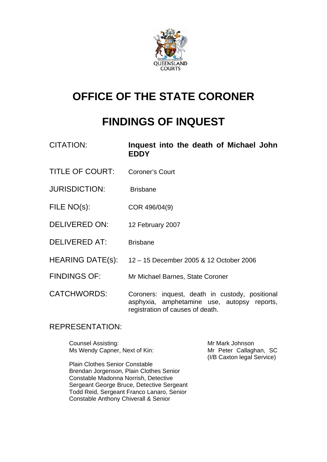

# **OFFICE OF THE STATE CORONER**

# **FINDINGS OF INQUEST**

| CITATION:              | Inquest into the death of Michael John<br><b>EDDY</b>                                                                              |
|------------------------|------------------------------------------------------------------------------------------------------------------------------------|
| <b>TITLE OF COURT:</b> | <b>Coroner's Court</b>                                                                                                             |
| <b>JURISDICTION:</b>   | <b>Brisbane</b>                                                                                                                    |
| FILE NO(s):            | COR 496/04(9)                                                                                                                      |
| <b>DELIVERED ON:</b>   | 12 February 2007                                                                                                                   |
| <b>DELIVERED AT:</b>   | <b>Brisbane</b>                                                                                                                    |
| HEARING DATE(s):       | 12 - 15 December 2005 & 12 October 2006                                                                                            |
| <b>FINDINGS OF:</b>    | Mr Michael Barnes, State Coroner                                                                                                   |
| <b>CATCHWORDS:</b>     | Coroners: inquest, death in custody, positional<br>asphyxia, amphetamine use, autopsy reports,<br>registration of causes of death. |

#### REPRESENTATION:

Counsel Assisting: Mr Mark Johnson Ms Wendy Capner, Next of Kin: Mr Peter Callaghan, SC

Plain Clothes Senior Constable Brendan Jorgenson, Plain Clothes Senior Constable Madonna Norrish, Detective Sergeant George Bruce, Detective Sergeant Todd Reid, Sergeant Franco Lanaro, Senior Constable Anthony Chiverall & Senior

(I/B Caxton legal Service)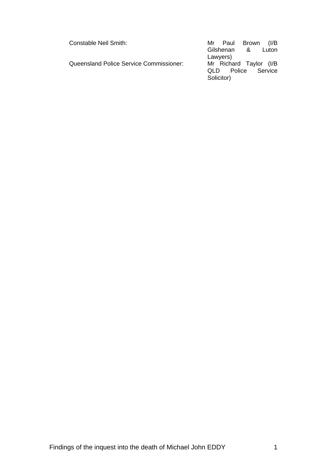| Constable Neil Smith:                   | Mr Paul Brown          | (I/B    |
|-----------------------------------------|------------------------|---------|
|                                         | Gilshenan &            | Luton   |
|                                         | Lawyers)               |         |
| Queensland Police Service Commissioner: | Mr Richard Taylor (I/B |         |
|                                         | QLD Police             | Service |
|                                         | Solicitor)             |         |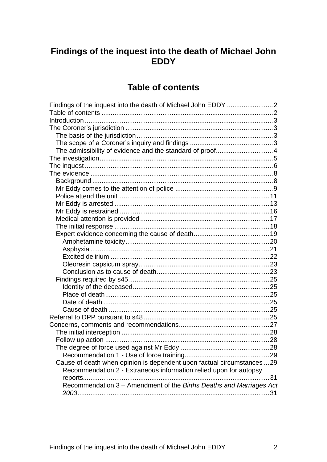# Findings of the inquest into the death of Michael John **EDDY**

# **Table of contents**

| Findings of the inquest into the death of Michael John EDDY 2           |  |
|-------------------------------------------------------------------------|--|
|                                                                         |  |
|                                                                         |  |
|                                                                         |  |
|                                                                         |  |
|                                                                         |  |
| The admissibility of evidence and the standard of proof4                |  |
|                                                                         |  |
|                                                                         |  |
|                                                                         |  |
|                                                                         |  |
|                                                                         |  |
|                                                                         |  |
|                                                                         |  |
|                                                                         |  |
|                                                                         |  |
|                                                                         |  |
|                                                                         |  |
|                                                                         |  |
|                                                                         |  |
|                                                                         |  |
|                                                                         |  |
|                                                                         |  |
|                                                                         |  |
|                                                                         |  |
|                                                                         |  |
|                                                                         |  |
|                                                                         |  |
|                                                                         |  |
|                                                                         |  |
|                                                                         |  |
|                                                                         |  |
|                                                                         |  |
|                                                                         |  |
| Cause of death when opinion is dependent upon factual circumstances  29 |  |
| Recommendation 2 - Extraneous information relied upon for autopsy       |  |
|                                                                         |  |
| Recommendation 3 - Amendment of the Births Deaths and Marriages Act     |  |
|                                                                         |  |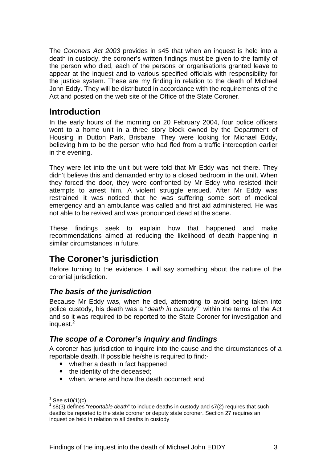The *Coroners Act 2003* provides in s45 that when an inquest is held into a death in custody, the coroner's written findings must be given to the family of the person who died, each of the persons or organisations granted leave to appear at the inquest and to various specified officials with responsibility for the justice system. These are my finding in relation to the death of Michael John Eddy. They will be distributed in accordance with the requirements of the Act and posted on the web site of the Office of the State Coroner.

# **Introduction**

In the early hours of the morning on 20 February 2004, four police officers went to a home unit in a three story block owned by the Department of Housing in Dutton Park, Brisbane. They were looking for Michael Eddy, believing him to be the person who had fled from a traffic interception earlier in the evening.

They were let into the unit but were told that Mr Eddy was not there. They didn't believe this and demanded entry to a closed bedroom in the unit. When they forced the door, they were confronted by Mr Eddy who resisted their attempts to arrest him. A violent struggle ensued. After Mr Eddy was restrained it was noticed that he was suffering some sort of medical emergency and an ambulance was called and first aid administered. He was not able to be revived and was pronounced dead at the scene.

These findings seek to explain how that happened and make recommendations aimed at reducing the likelihood of death happening in similar circumstances in future.

# **The Coroner's jurisdiction**

Before turning to the evidence, I will say something about the nature of the coronial jurisdiction.

### *The basis of the jurisdiction*

Because Mr Eddy was, when he died, attempting to avoid being taken into police custody, his death was a "*death in custody*" within the terms of the Act and so it was required to be reported to the State Coroner for investigation and inquest.<sup>2</sup>

#### *The scope of a Coroner's inquiry and findings*

A coroner has jurisdiction to inquire into the cause and the circumstances of a reportable death. If possible he/she is required to find:-

- whether a death in fact happened
- the identity of the deceased;
- when, where and how the death occurred; and

l

<sup>&</sup>lt;sup>1</sup> See s10(1)(c)<br><sup>2</sup> s8(3) defines "*reportable death*" to include deaths in custody and s7(2) requires that such deaths be reported to the state coroner or deputy state coroner. Section 27 requires an inquest be held in relation to all deaths in custody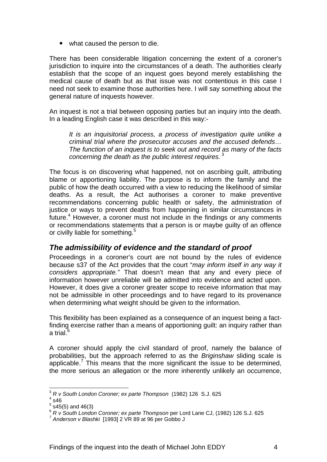• what caused the person to die.

There has been considerable litigation concerning the extent of a coroner's jurisdiction to inquire into the circumstances of a death. The authorities clearly establish that the scope of an inquest goes beyond merely establishing the medical cause of death but as that issue was not contentious in this case I need not seek to examine those authorities here. I will say something about the general nature of inquests however.

An inquest is not a trial between opposing parties but an inquiry into the death. In a leading English case it was described in this way:-

*It is an inquisitorial process, a process of investigation quite unlike a criminal trial where the prosecutor accuses and the accused defends… The function of an inquest is to seek out and record as many of the facts concerning the death as the public interest requires.*<sup>3</sup>

The focus is on discovering what happened, not on ascribing guilt, attributing blame or apportioning liability. The purpose is to inform the family and the public of how the death occurred with a view to reducing the likelihood of similar deaths. As a result, the Act authorises a coroner to make preventive recommendations concerning public health or safety, the administration of justice or ways to prevent deaths from happening in similar circumstances in future.<sup>4</sup> However, a coroner must not include in the findings or any comments or recommendations statements that a person is or maybe guilty of an offence or civilly liable for something.<sup>5</sup>

#### *The admissibility of evidence and the standard of proof*

Proceedings in a coroner's court are not bound by the rules of evidence because s37 of the Act provides that the court "*may inform itself in any way it considers appropriate."* That doesn't mean that any and every piece of information however unreliable will be admitted into evidence and acted upon. However, it does give a coroner greater scope to receive information that may not be admissible in other proceedings and to have regard to its provenance when determining what weight should be given to the information.

This flexibility has been explained as a consequence of an inquest being a factfinding exercise rather than a means of apportioning guilt: an inquiry rather than a trial. $^6$ 

A coroner should apply the civil standard of proof, namely the balance of probabilities, but the approach referred to as the *Briginshaw* sliding scale is applicable.<sup>7</sup> This means that the more significant the issue to be determined, the more serious an allegation or the more inherently unlikely an occurrence,

l <sup>3</sup> *R v South London Coroner; ex parte Thompson* (1982) 126 S.J. 625 4

 $4$ s46

 $5$  s45(5) and 46(3)

<sup>6</sup> *R v South London Coroner; ex parte Thompson* per Lord Lane CJ, (1982) 126 S.J. 625 7 *Anderson v Blashki* [1993] 2 VR 89 at 96 per Gobbo J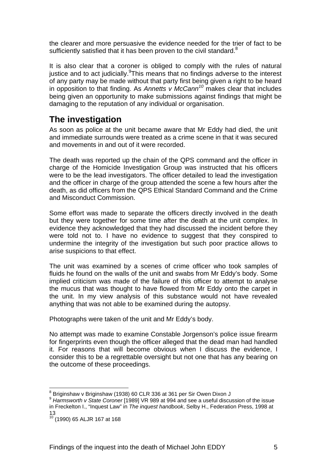the clearer and more persuasive the evidence needed for the trier of fact to be sufficiently satisfied that it has been proven to the civil standard. $8$ 

It is also clear that a coroner is obliged to comply with the rules of natural justice and to act judicially. This means that no findings adverse to the interest of any party may be made without that party first being given a right to be heard in opposition to that finding. As *Annetts v McCann<sup>10</sup>* makes clear that includes being given an opportunity to make submissions against findings that might be damaging to the reputation of any individual or organisation.

# **The investigation**

As soon as police at the unit became aware that Mr Eddy had died, the unit and immediate surrounds were treated as a crime scene in that it was secured and movements in and out of it were recorded.

The death was reported up the chain of the QPS command and the officer in charge of the Homicide Investigation Group was instructed that his officers were to be the lead investigators. The officer detailed to lead the investigation and the officer in charge of the group attended the scene a few hours after the death, as did officers from the QPS Ethical Standard Command and the Crime and Misconduct Commission.

Some effort was made to separate the officers directly involved in the death but they were together for some time after the death at the unit complex. In evidence they acknowledged that they had discussed the incident before they were told not to. I have no evidence to suggest that they conspired to undermine the integrity of the investigation but such poor practice allows to arise suspicions to that effect.

The unit was examined by a scenes of crime officer who took samples of fluids he found on the walls of the unit and swabs from Mr Eddy's body. Some implied criticism was made of the failure of this officer to attempt to analyse the mucus that was thought to have flowed from Mr Eddy onto the carpet in the unit. In my view analysis of this substance would not have revealed anything that was not able to be examined during the autopsy.

Photographs were taken of the unit and Mr Eddy's body.

No attempt was made to examine Constable Jorgenson's police issue firearm for fingerprints even though the officer alleged that the dead man had handled it. For reasons that will become obvious when I discuss the evidence, I consider this to be a regrettable oversight but not one that has any bearing on the outcome of these proceedings.

l <sup>8</sup> Briginshaw v Briginshaw (1938) 60 CLR 336 at 361 per Sir Owen Dixon J

<sup>9</sup> *Harmsworth v State Coroner* [1989] VR 989 at 994 and see a useful discussion of the issue in Freckelton I., "Inquest Law" in *The inquest handbook*, Selby H., Federation Press, 1998 at 13

 $10^{10}$  (1990) 65 ALJR 167 at 168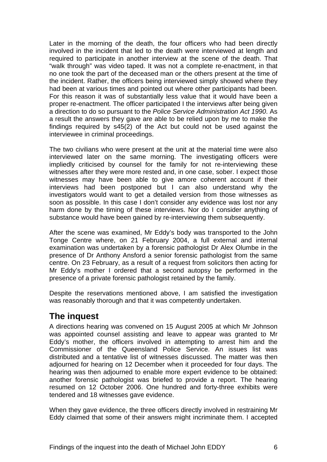Later in the morning of the death, the four officers who had been directly involved in the incident that led to the death were interviewed at length and required to participate in another interview at the scene of the death. That "walk through" was video taped. It was not a complete re-enactment, in that no one took the part of the deceased man or the others present at the time of the incident. Rather, the officers being interviewed simply showed where they had been at various times and pointed out where other participants had been. For this reason it was of substantially less value that it would have been a proper re-enactment. The officer participated I the interviews after being given a direction to do so pursuant to the *Police Service Administration Act 1990*. As a result the answers they gave are able to be relied upon by me to make the findings required by s45(2) of the Act but could not be used against the interviewee in criminal proceedings.

The two civilians who were present at the unit at the material time were also interviewed later on the same morning. The investigating officers were impliedly criticised by counsel for the family for not re-interviewing these witnesses after they were more rested and, in one case, sober. I expect those witnesses may have been able to give amore coherent account if their interviews had been postponed but I can also understand why the investigators would want to get a detailed version from those witnesses as soon as possible. In this case I don't consider any evidence was lost nor any harm done by the timing of these interviews. Nor do I consider anything of substance would have been gained by re-interviewing them subsequently.

After the scene was examined, Mr Eddy's body was transported to the John Tonge Centre where, on 21 February 2004, a full external and internal examination was undertaken by a forensic pathologist Dr Alex Olumbe in the presence of Dr Anthony Ansford a senior forensic pathologist from the same centre. On 23 February, as a result of a request from solicitors then acting for Mr Eddy's mother I ordered that a second autopsy be performed in the presence of a private forensic pathologist retained by the family.

Despite the reservations mentioned above, I am satisfied the investigation was reasonably thorough and that it was competently undertaken.

# **The inquest**

A directions hearing was convened on 15 August 2005 at which Mr Johnson was appointed counsel assisting and leave to appear was granted to Mr Eddy's mother, the officers involved in attempting to arrest him and the Commissioner of the Queensland Police Service. An issues list was distributed and a tentative list of witnesses discussed. The matter was then adjourned for hearing on 12 December when it proceeded for four days. The hearing was then adjourned to enable more expert evidence to be obtained: another forensic pathologist was briefed to provide a report. The hearing resumed on 12 October 2006. One hundred and forty-three exhibits were tendered and 18 witnesses gave evidence.

When they gave evidence, the three officers directly involved in restraining Mr Eddy claimed that some of their answers might incriminate them. I accepted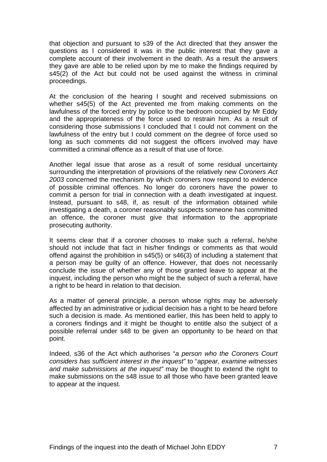that objection and pursuant to s39 of the Act directed that they answer the questions as I considered it was in the public interest that they gave a complete account of their involvement in the death. As a result the answers they gave are able to be relied upon by me to make the findings required by s45(2) of the Act but could not be used against the witness in criminal proceedings.

At the conclusion of the hearing I sought and received submissions on whether s45(5) of the Act prevented me from making comments on the lawfulness of the forced entry by police to the bedroom occupied by Mr Eddy and the appropriateness of the force used to restrain him. As a result of considering those submissions I concluded that I could not comment on the lawfulness of the entry but I could comment on the degree of force used so long as such comments did not suggest the officers involved may have committed a criminal offence as a result of that use of force.

Another legal issue that arose as a result of some residual uncertainty surrounding the interpretation of provisions of the relatively new *Coroners Act 2003* concerned the mechanism by which coroners now respond to evidence of possible criminal offences. No longer do coroners have the power to commit a person for trial in connection with a death investigated at inquest. Instead, pursuant to s48, if, as result of the information obtained while investigating a death, a coroner reasonably suspects someone has committed an offence, the coroner must give that information to the appropriate prosecuting authority.

It seems clear that if a coroner chooses to make such a referral, he/she should not include that fact in his/her findings or comments as that would offend against the prohibition in s45(5) or s46(3) of including a statement that a person may be guilty of an offence. However, that does not necessarily conclude the issue of whether any of those granted leave to appear at the inquest, including the person who might be the subject of such a referral, have a right to be heard in relation to that decision.

As a matter of general principle, a person whose rights may be adversely affected by an administrative or judicial decision has a right to be heard before such a decision is made. As mentioned earlier, this has been held to apply to a coroners findings and it might be thought to entitle also the subject of a possible referral under s48 to be given an opportunity to be heard on that point.

Indeed, s36 of the Act which authorises "*a person who the Coroners Court considers has sufficient interest in the inquest"* to "*appear, examine witnesses and make submissions at the inquest"* may be thought to extend the right to make submissions on the s48 issue to all those who have been granted leave to appear at the inquest.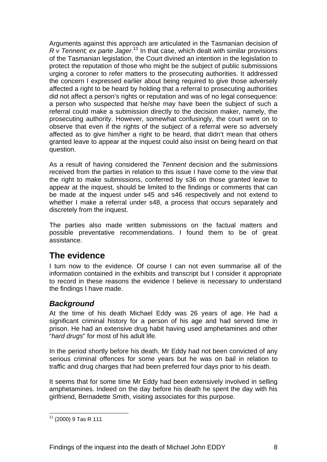Arguments against this approach are articulated in the Tasmanian decision of *R v Tennent; ex parte Jager*. 11 In that case, which dealt with similar provisions of the Tasmanian legislation, the Court divined an intention in the legislation to protect the reputation of those who might be the subject of public submissions urging a coroner to refer matters to the prosecuting authorities. It addressed the concern I expressed earlier about being required to give those adversely affected a right to be heard by holding that a referral to prosecuting authorities did not affect a person's rights or reputation and was of no legal consequence: a person who suspected that he/she may have been the subject of such a referral could make a submission directly to the decision maker, namely, the prosecuting authority. However, somewhat confusingly, the court went on to observe that even if the rights of the subject of a referral were so adversely affected as to give him/her a right to be heard, that didn't mean that others granted leave to appear at the inquest could also insist on being heard on that question.

As a result of having considered the *Tennent* decision and the submissions received from the parties in relation to this issue I have come to the view that the right to make submissions, conferred by s36 on those granted leave to appear at the inquest, should be limited to the findings or comments that can be made at the inquest under s45 and s46 respectively and not extend to whether I make a referral under s48, a process that occurs separately and discretely from the inquest.

The parties also made written submissions on the factual matters and possible preventative recommendations. I found them to be of great assistance.

# **The evidence**

I turn now to the evidence. Of course I can not even summarise all of the information contained in the exhibits and transcript but I consider it appropriate to record in these reasons the evidence I believe is necessary to understand the findings I have made.

### *Background*

At the time of his death Michael Eddy was 26 years of age. He had a significant criminal history for a person of his age and had served time in prison. He had an extensive drug habit having used amphetamines and other "*hard drugs*" for most of his adult life.

In the period shortly before his death, Mr Eddy had not been convicted of any serious criminal offences for some years but he was on bail in relation to traffic and drug charges that had been preferred four days prior to his death.

It seems that for some time Mr Eddy had been extensively involved in selling amphetamines. Indeed on the day before his death he spent the day with his girlfriend, Bernadette Smith, visiting associates for this purpose.

l  $11$  (2000) 9 Tas R 111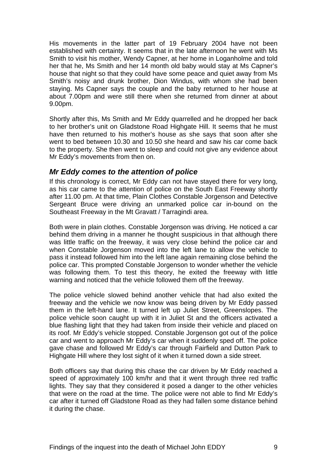His movements in the latter part of 19 February 2004 have not been established with certainty. It seems that in the late afternoon he went with Ms Smith to visit his mother, Wendy Capner, at her home in Loganholme and told her that he, Ms Smith and her 14 month old baby would stay at Ms Capner's house that night so that they could have some peace and quiet away from Ms Smith's noisy and drunk brother, Dion Windus, with whom she had been staying. Ms Capner says the couple and the baby returned to her house at about 7.00pm and were still there when she returned from dinner at about 9.00pm.

Shortly after this, Ms Smith and Mr Eddy quarrelled and he dropped her back to her brother's unit on Gladstone Road Highgate Hill. It seems that he must have then returned to his mother's house as she says that soon after she went to bed between 10.30 and 10.50 she heard and saw his car come back to the property. She then went to sleep and could not give any evidence about Mr Eddy's movements from then on.

#### *Mr Eddy comes to the attention of police*

If this chronology is correct, Mr Eddy can not have stayed there for very long, as his car came to the attention of police on the South East Freeway shortly after 11.00 pm. At that time, Plain Clothes Constable Jorgenson and Detective Sergeant Bruce were driving an unmarked police car in-bound on the Southeast Freeway in the Mt Gravatt / Tarragindi area.

Both were in plain clothes. Constable Jorgenson was driving. He noticed a car behind them driving in a manner he thought suspicious in that although there was little traffic on the freeway, it was very close behind the police car and when Constable Jorgenson moved into the left lane to allow the vehicle to pass it instead followed him into the left lane again remaining close behind the police car. This prompted Constable Jorgenson to wonder whether the vehicle was following them. To test this theory, he exited the freeway with little warning and noticed that the vehicle followed them off the freeway.

The police vehicle slowed behind another vehicle that had also exited the freeway and the vehicle we now know was being driven by Mr Eddy passed them in the left-hand lane. It turned left up Juliet Street, Greenslopes. The police vehicle soon caught up with it in Juliet St and the officers activated a blue flashing light that they had taken from inside their vehicle and placed on its roof. Mr Eddy's vehicle stopped. Constable Jorgenson got out of the police car and went to approach Mr Eddy's car when it suddenly sped off. The police gave chase and followed Mr Eddy's car through Fairfield and Dutton Park to Highgate Hill where they lost sight of it when it turned down a side street.

Both officers say that during this chase the car driven by Mr Eddy reached a speed of approximately 100 km/hr and that it went through three red traffic lights. They say that they considered it posed a danger to the other vehicles that were on the road at the time. The police were not able to find Mr Eddy's car after it turned off Gladstone Road as they had fallen some distance behind it during the chase.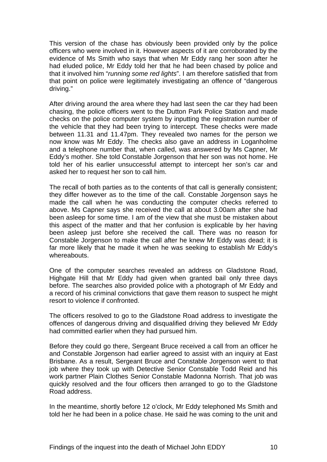This version of the chase has obviously been provided only by the police officers who were involved in it. However aspects of it are corroborated by the evidence of Ms Smith who says that when Mr Eddy rang her soon after he had eluded police, Mr Eddy told her that he had been chased by police and that it involved him "*running some red lights*". I am therefore satisfied that from that point on police were legitimately investigating an offence of "dangerous driving."

After driving around the area where they had last seen the car they had been chasing, the police officers went to the Dutton Park Police Station and made checks on the police computer system by inputting the registration number of the vehicle that they had been trying to intercept. These checks were made between 11.31 and 11.47pm. They revealed two names for the person we now know was Mr Eddy. The checks also gave an address in Loganholme and a telephone number that, when called, was answered by Ms Capner, Mr Eddy's mother. She told Constable Jorgenson that her son was not home. He told her of his earlier unsuccessful attempt to intercept her son's car and asked her to request her son to call him.

The recall of both parties as to the contents of that call is generally consistent; they differ however as to the time of the call. Constable Jorgenson says he made the call when he was conducting the computer checks referred to above. Ms Capner says she received the call at about 3.00am after she had been asleep for some time. I am of the view that she must be mistaken about this aspect of the matter and that her confusion is explicable by her having been asleep just before she received the call. There was no reason for Constable Jorgenson to make the call after he knew Mr Eddy was dead; it is far more likely that he made it when he was seeking to establish Mr Eddy's whereabouts.

One of the computer searches revealed an address on Gladstone Road, Highgate Hill that Mr Eddy had given when granted bail only three days before. The searches also provided police with a photograph of Mr Eddy and a record of his criminal convictions that gave them reason to suspect he might resort to violence if confronted.

The officers resolved to go to the Gladstone Road address to investigate the offences of dangerous driving and disqualified driving they believed Mr Eddy had committed earlier when they had pursued him.

Before they could go there, Sergeant Bruce received a call from an officer he and Constable Jorgenson had earlier agreed to assist with an inquiry at East Brisbane. As a result, Sergeant Bruce and Constable Jorgenson went to that job where they took up with Detective Senior Constable Todd Reid and his work partner Plain Clothes Senior Constable Madonna Norrish. That job was quickly resolved and the four officers then arranged to go to the Gladstone Road address.

In the meantime, shortly before 12 o'clock, Mr Eddy telephoned Ms Smith and told her he had been in a police chase. He said he was coming to the unit and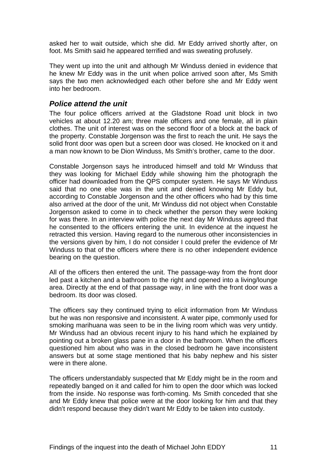asked her to wait outside, which she did. Mr Eddy arrived shortly after, on foot. Ms Smith said he appeared terrified and was sweating profusely.

They went up into the unit and although Mr Winduss denied in evidence that he knew Mr Eddy was in the unit when police arrived soon after, Ms Smith says the two men acknowledged each other before she and Mr Eddy went into her bedroom.

#### *Police attend the unit*

The four police officers arrived at the Gladstone Road unit block in two vehicles at about 12.20 am; three male officers and one female, all in plain clothes. The unit of interest was on the second floor of a block at the back of the property. Constable Jorgenson was the first to reach the unit. He says the solid front door was open but a screen door was closed. He knocked on it and a man now known to be Dion Winduss, Ms Smith's brother, came to the door.

Constable Jorgenson says he introduced himself and told Mr Winduss that they was looking for Michael Eddy while showing him the photograph the officer had downloaded from the QPS computer system. He says Mr Winduss said that no one else was in the unit and denied knowing Mr Eddy but, according to Constable Jorgenson and the other officers who had by this time also arrived at the door of the unit, Mr Winduss did not object when Constable Jorgenson asked to come in to check whether the person they were looking for was there. In an interview with police the next day Mr Winduss agreed that he consented to the officers entering the unit. In evidence at the inquest he retracted this version. Having regard to the numerous other inconsistencies in the versions given by him, I do not consider I could prefer the evidence of Mr Winduss to that of the officers where there is no other independent evidence bearing on the question.

All of the officers then entered the unit. The passage-way from the front door led past a kitchen and a bathroom to the right and opened into a living/lounge area. Directly at the end of that passage way, in line with the front door was a bedroom. Its door was closed.

The officers say they continued trying to elicit information from Mr Winduss but he was non responsive and inconsistent. A water pipe, commonly used for smoking marihuana was seen to be in the living room which was very untidy. Mr Winduss had an obvious recent injury to his hand which he explained by pointing out a broken glass pane in a door in the bathroom. When the officers questioned him about who was in the closed bedroom he gave inconsistent answers but at some stage mentioned that his baby nephew and his sister were in there alone.

The officers understandably suspected that Mr Eddy might be in the room and repeatedly banged on it and called for him to open the door which was locked from the inside. No response was forth-coming. Ms Smith conceded that she and Mr Eddy knew that police were at the door looking for him and that they didn't respond because they didn't want Mr Eddy to be taken into custody.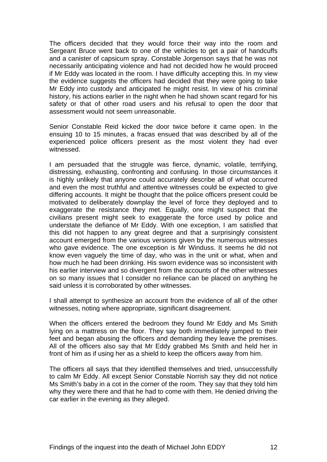The officers decided that they would force their way into the room and Sergeant Bruce went back to one of the vehicles to get a pair of handcuffs and a canister of capsicum spray. Constable Jorgenson says that he was not necessarily anticipating violence and had not decided how he would proceed if Mr Eddy was located in the room. I have difficulty accepting this. In my view the evidence suggests the officers had decided that they were going to take Mr Eddy into custody and anticipated he might resist. In view of his criminal history, his actions earlier in the night when he had shown scant regard for his safety or that of other road users and his refusal to open the door that assessment would not seem unreasonable.

Senior Constable Reid kicked the door twice before it came open. In the ensuing 10 to 15 minutes, a fracas ensued that was described by all of the experienced police officers present as the most violent they had ever witnessed.

I am persuaded that the struggle was fierce, dynamic, volatile, terrifying, distressing, exhausting, confronting and confusing. In those circumstances it is highly unlikely that anyone could accurately describe all of what occurred and even the most truthful and attentive witnesses could be expected to give differing accounts. It might be thought that the police officers present could be motivated to deliberately downplay the level of force they deployed and to exaggerate the resistance they met. Equally, one might suspect that the civilians present might seek to exaggerate the force used by police and understate the defiance of Mr Eddy. With one exception, I am satisfied that this did not happen to any great degree and that a surprisingly consistent account emerged from the various versions given by the numerous witnesses who gave evidence. The one exception is Mr Winduss. It seems he did not know even vaguely the time of day, who was in the unit or what, when and how much he had been drinking. His sworn evidence was so inconsistent with his earlier interview and so divergent from the accounts of the other witnesses on so many issues that I consider no reliance can be placed on anything he said unless it is corroborated by other witnesses.

I shall attempt to synthesize an account from the evidence of all of the other witnesses, noting where appropriate, significant disagreement.

When the officers entered the bedroom they found Mr Eddy and Ms Smith lying on a mattress on the floor. They say both immediately jumped to their feet and began abusing the officers and demanding they leave the premises. All of the officers also say that Mr Eddy grabbed Ms Smith and held her in front of him as if using her as a shield to keep the officers away from him.

The officers all says that they identified themselves and tried, unsuccessfully to calm Mr Eddy. All except Senior Constable Norrish say they did not notice Ms Smith's baby in a cot in the corner of the room. They say that they told him why they were there and that he had to come with them. He denied driving the car earlier in the evening as they alleged.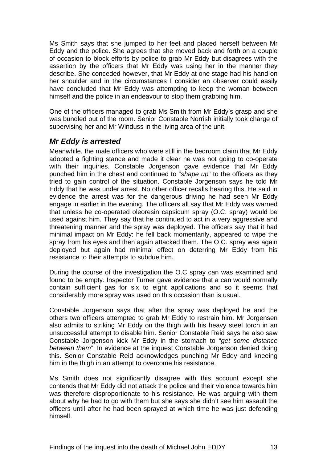Ms Smith says that she jumped to her feet and placed herself between Mr Eddy and the police. She agrees that she moved back and forth on a couple of occasion to block efforts by police to grab Mr Eddy but disagrees with the assertion by the officers that Mr Eddy was using her in the manner they describe. She conceded however, that Mr Eddy at one stage had his hand on her shoulder and in the circumstances I consider an observer could easily have concluded that Mr Eddy was attempting to keep the woman between himself and the police in an endeavour to stop them grabbing him.

One of the officers managed to grab Ms Smith from Mr Eddy's grasp and she was bundled out of the room. Senior Constable Norrish initially took charge of supervising her and Mr Winduss in the living area of the unit.

#### *Mr Eddy is arrested*

Meanwhile, the male officers who were still in the bedroom claim that Mr Eddy adopted a fighting stance and made it clear he was not going to co-operate with their inquiries. Constable Jorgenson gave evidence that Mr Eddy punched him in the chest and continued to "*shape up*" to the officers as they tried to gain control of the situation. Constable Jorgenson says he told Mr Eddy that he was under arrest. No other officer recalls hearing this. He said in evidence the arrest was for the dangerous driving he had seen Mr Eddy engage in earlier in the evening. The officers all say that Mr Eddy was warned that unless he co-operated oleoresin capsicum spray (O.C. spray) would be used against him. They say that he continued to act in a very aggressive and threatening manner and the spray was deployed. The officers say that it had minimal impact on Mr Eddy: he fell back momentarily, appeared to wipe the spray from his eyes and then again attacked them. The O.C. spray was again deployed but again had minimal effect on deterring Mr Eddy from his resistance to their attempts to subdue him.

During the course of the investigation the O.C spray can was examined and found to be empty. Inspector Turner gave evidence that a can would normally contain sufficient gas for six to eight applications and so it seems that considerably more spray was used on this occasion than is usual.

Constable Jorgenson says that after the spray was deployed he and the others two officers attempted to grab Mr Eddy to restrain him. Mr Jorgensen also admits to striking Mr Eddy on the thigh with his heavy steel torch in an unsuccessful attempt to disable him. Senior Constable Reid says he also saw Constable Jorgenson kick Mr Eddy in the stomach to "*get some distance between them*". In evidence at the inquest Constable Jorgenson denied doing this. Senior Constable Reid acknowledges punching Mr Eddy and kneeing him in the thigh in an attempt to overcome his resistance.

Ms Smith does not significantly disagree with this account except she contends that Mr Eddy did not attack the police and their violence towards him was therefore disproportionate to his resistance. He was arguing with them about why he had to go with them but she says she didn't see him assault the officers until after he had been sprayed at which time he was just defending himself.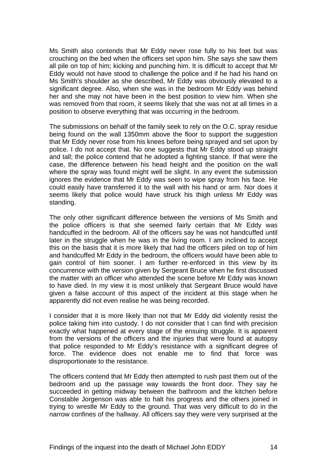Ms Smith also contends that Mr Eddy never rose fully to his feet but was crouching on the bed when the officers set upon him. She says she saw them all pile on top of him; kicking and punching him. It is difficult to accept that Mr Eddy would not have stood to challenge the police and if he had his hand on Ms Smith's shoulder as she described, Mr Eddy was obviously elevated to a significant degree. Also, when she was in the bedroom Mr Eddy was behind her and she may not have been in the best position to view him. When she was removed from that room, it seems likely that she was not at all times in a position to observe everything that was occurring in the bedroom.

The submissions on behalf of the family seek to rely on the O.C. spray residue being found on the wall 1350mm above the floor to support the suggestion that Mr Eddy never rose from his knees before being sprayed and set upon by police. I do not accept that. No one suggests that Mr Eddy stood up straight and tall; the police contend that he adopted a fighting stance. If that were the case, the difference between his head height and the position on the wall where the spray was found might well be slight. In any event the submission ignores the evidence that Mr Eddy was seen to wipe spray from his face. He could easily have transferred it to the wall with his hand or arm. Nor does it seems likely that police would have struck his thigh unless Mr Eddy was standing.

The only other significant difference between the versions of Ms Smith and the police officers is that she seemed fairly certain that Mr Eddy was handcuffed in the bedroom. All of the officers say he was not handcuffed until later in the struggle when he was in the living room. I am inclined to accept this on the basis that it is more likely that had the officers piled on top of him and handcuffed Mr Eddy in the bedroom, the officers would have been able to gain control of him sooner. I am further re-enforced in this view by its concurrence with the version given by Sergeant Bruce when he first discussed the matter with an officer who attended the scene before Mr Eddy was known to have died. In my view it is most unlikely that Sergeant Bruce would have given a false account of this aspect of the incident at this stage when he apparently did not even realise he was being recorded.

I consider that it is more likely than not that Mr Eddy did violently resist the police taking him into custody. I do not consider that I can find with precision exactly what happened at every stage of the ensuing struggle. It is apparent from the versions of the officers and the injuries that were found at autopsy that police responded to Mr Eddy's resistance with a significant degree of force. The evidence does not enable me to find that force was disproportionate to the resistance.

The officers contend that Mr Eddy then attempted to rush past them out of the bedroom and up the passage way towards the front door. They say he succeeded in getting midway between the bathroom and the kitchen before Constable Jorgenson was able to halt his progress and the others joined in trying to wrestle Mr Eddy to the ground. That was very difficult to do in the narrow confines of the hallway. All officers say they were very surprised at the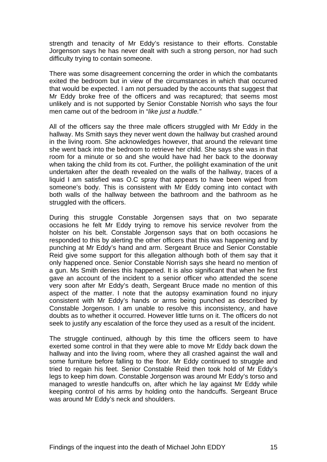strength and tenacity of Mr Eddy's resistance to their efforts. Constable Jorgenson says he has never dealt with such a strong person, nor had such difficulty trying to contain someone.

There was some disagreement concerning the order in which the combatants exited the bedroom but in view of the circumstances in which that occurred that would be expected. I am not persuaded by the accounts that suggest that Mr Eddy broke free of the officers and was recaptured; that seems most unlikely and is not supported by Senior Constable Norrish who says the four men came out of the bedroom in "*like just a huddle."*

All of the officers say the three male officers struggled with Mr Eddy in the hallway. Ms Smith says they never went down the hallway but crashed around in the living room. She acknowledges however, that around the relevant time she went back into the bedroom to retrieve her child. She says she was in that room for a minute or so and she would have had her back to the doorway when taking the child from its cot. Further, the polilight examination of the unit undertaken after the death revealed on the walls of the hallway, traces of a liquid I am satisfied was O.C spray that appears to have been wiped from someone's body. This is consistent with Mr Eddy coming into contact with both walls of the hallway between the bathroom and the bathroom as he struggled with the officers.

During this struggle Constable Jorgensen says that on two separate occasions he felt Mr Eddy trying to remove his service revolver from the holster on his belt. Constable Jorgenson says that on both occasions he responded to this by alerting the other officers that this was happening and by punching at Mr Eddy's hand and arm. Sergeant Bruce and Senior Constable Reid give some support for this allegation although both of them say that it only happened once. Senior Constable Norrish says she heard no mention of a gun. Ms Smith denies this happened. It is also significant that when he first gave an account of the incident to a senior officer who attended the scene very soon after Mr Eddy's death, Sergeant Bruce made no mention of this aspect of the matter. I note that the autopsy examination found no injury consistent with Mr Eddy's hands or arms being punched as described by Constable Jorgenson. I am unable to resolve this inconsistency, and have doubts as to whether it occurred. However little turns on it. The officers do not seek to justify any escalation of the force they used as a result of the incident.

The struggle continued, although by this time the officers seem to have exerted some control in that they were able to move Mr Eddy back down the hallway and into the living room, where they all crashed against the wall and some furniture before falling to the floor. Mr Eddy continued to struggle and tried to regain his feet. Senior Constable Reid then took hold of Mr Eddy's legs to keep him down. Constable Jorgenson was around Mr Eddy's torso and managed to wrestle handcuffs on, after which he lay against Mr Eddy while keeping control of his arms by holding onto the handcuffs. Sergeant Bruce was around Mr Eddy's neck and shoulders.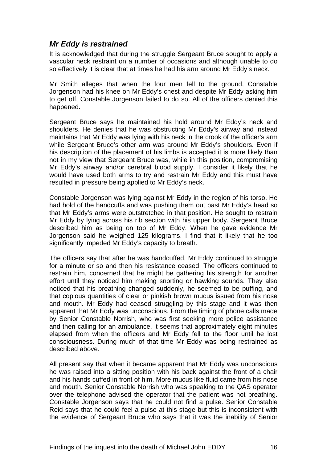#### *Mr Eddy is restrained*

It is acknowledged that during the struggle Sergeant Bruce sought to apply a vascular neck restraint on a number of occasions and although unable to do so effectively it is clear that at times he had his arm around Mr Eddy's neck.

Mr Smith alleges that when the four men fell to the ground, Constable Jorgenson had his knee on Mr Eddy's chest and despite Mr Eddy asking him to get off, Constable Jorgenson failed to do so. All of the officers denied this happened.

Sergeant Bruce says he maintained his hold around Mr Eddy's neck and shoulders. He denies that he was obstructing Mr Eddy's airway and instead maintains that Mr Eddy was lying with his neck in the crook of the officer's arm while Sergeant Bruce's other arm was around Mr Eddy's shoulders. Even if his description of the placement of his limbs is accepted it is more likely than not in my view that Sergeant Bruce was, while in this position, compromising Mr Eddy's airway and/or cerebral blood supply. I consider it likely that he would have used both arms to try and restrain Mr Eddy and this must have resulted in pressure being applied to Mr Eddy's neck.

Constable Jorgenson was lying against Mr Eddy in the region of his torso. He had hold of the handcuffs and was pushing them out past Mr Eddy's head so that Mr Eddy's arms were outstretched in that position. He sought to restrain Mr Eddy by lying across his rib section with his upper body. Sergeant Bruce described him as being on top of Mr Eddy. When he gave evidence Mr Jorgenson said he weighed 125 kilograms. I find that it likely that he too significantly impeded Mr Eddy's capacity to breath.

The officers say that after he was handcuffed, Mr Eddy continued to struggle for a minute or so and then his resistance ceased. The officers continued to restrain him, concerned that he might be gathering his strength for another effort until they noticed him making snorting or hawking sounds. They also noticed that his breathing changed suddenly, he seemed to be puffing, and that copious quantities of clear or pinkish brown mucus issued from his nose and mouth. Mr Eddy had ceased struggling by this stage and it was then apparent that Mr Eddy was unconscious. From the timing of phone calls made by Senior Constable Norrish, who was first seeking more police assistance and then calling for an ambulance, it seems that approximately eight minutes elapsed from when the officers and Mr Eddy fell to the floor until he lost consciousness. During much of that time Mr Eddy was being restrained as described above.

All present say that when it became apparent that Mr Eddy was unconscious he was raised into a sitting position with his back against the front of a chair and his hands cuffed in front of him. More mucus like fluid came from his nose and mouth. Senior Constable Norrish who was speaking to the QAS operator over the telephone advised the operator that the patient was not breathing. Constable Jorgenson says that he could not find a pulse. Senior Constable Reid says that he could feel a pulse at this stage but this is inconsistent with the evidence of Sergeant Bruce who says that it was the inability of Senior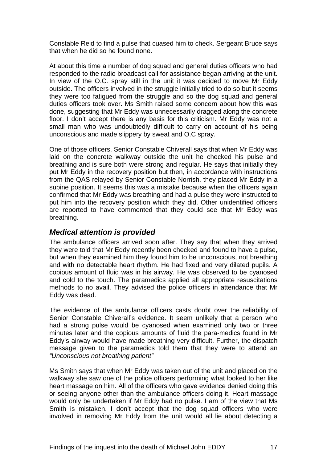Constable Reid to find a pulse that cuased him to check. Sergeant Bruce says that when he did so he found none.

At about this time a number of dog squad and general duties officers who had responded to the radio broadcast call for assistance began arriving at the unit. In view of the O.C. spray still in the unit it was decided to move Mr Eddy outside. The officers involved in the struggle initially tried to do so but it seems they were too fatigued from the struggle and so the dog squad and general duties officers took over. Ms Smith raised some concern about how this was done, suggesting that Mr Eddy was unnecessarily dragged along the concrete floor. I don't accept there is any basis for this criticism. Mr Eddy was not a small man who was undoubtedly difficult to carry on account of his being unconscious and made slippery by sweat and O.C spray.

One of those officers, Senior Constable Chiverall says that when Mr Eddy was laid on the concrete walkway outside the unit he checked his pulse and breathing and is sure both were strong and regular. He says that initially they put Mr Eddy in the recovery position but then, in accordance with instructions from the QAS relayed by Senior Constable Norrish, they placed Mr Eddy in a supine position. It seems this was a mistake because when the officers again confirmed that Mr Eddy was breathing and had a pulse they were instructed to put him into the recovery position which they did. Other unidentified officers are reported to have commented that they could see that Mr Eddy was breathing.

#### *Medical attention is provided*

The ambulance officers arrived soon after. They say that when they arrived they were told that Mr Eddy recently been checked and found to have a pulse, but when they examined him they found him to be unconscious, not breathing and with no detectable heart rhythm. He had fixed and very dilated pupils. A copious amount of fluid was in his airway. He was observed to be cyanosed and cold to the touch. The paramedics applied all appropriate resuscitations methods to no avail. They advised the police officers in attendance that Mr Eddy was dead.

The evidence of the ambulance officers casts doubt over the reliability of Senior Constable Chiverall's evidence. It seem unlikely that a person who had a strong pulse would be cyanosed when examined only two or three minutes later and the copious amounts of fluid the para-medics found in Mr Eddy's airway would have made breathing very difficult. Further, the dispatch message given to the paramedics told them that they were to attend an *"Unconscious not breathing patient"* 

Ms Smith says that when Mr Eddy was taken out of the unit and placed on the walkway she saw one of the police officers performing what looked to her like heart massage on him. All of the officers who gave evidence denied doing this or seeing anyone other than the ambulance officers doing it. Heart massage would only be undertaken if Mr Eddy had no pulse. I am of the view that Ms Smith is mistaken. I don't accept that the dog squad officers who were involved in removing Mr Eddy from the unit would all lie about detecting a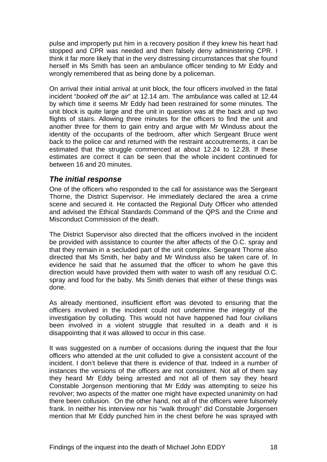pulse and improperly put him in a recovery position if they knew his heart had stopped and CPR was needed and then falsely deny administering CPR. I think it far more likely that in the very distressing circumstances that she found herself in Ms Smith has seen an ambulance officer tending to Mr Eddy and wrongly remembered that as being done by a policeman.

On arrival their initial arrival at unit block, the four officers involved in the fatal incident "*booked off the air*" at 12.14 am. The ambulance was called at 12.44 by which time it seems Mr Eddy had been restrained for some minutes. The unit block is quite large and the unit in question was at the back and up two flights of stairs. Allowing three minutes for the officers to find the unit and another three for them to gain entry and argue with Mr Winduss about the identity of the occupants of the bedroom, after which Sergeant Bruce went back to the police car and returned with the restraint accoutrements, it can be estimated that the struggle commenced at about 12.24 to 12.28. If these estimates are correct it can be seen that the whole incident continued for between 16 and 20 minutes.

#### *The initial response*

One of the officers who responded to the call for assistance was the Sergeant Thorne, the District Supervisor. He immediately declared the area a crime scene and secured it. He contacted the Regional Duty Officer who attended and advised the Ethical Standards Command of the QPS and the Crime and Misconduct Commission of the death.

The District Supervisor also directed that the officers involved in the incident be provided with assistance to counter the after affects of the O.C. spray and that they remain in a secluded part of the unit complex. Sergeant Thorne also directed that Ms Smith, her baby and Mr Winduss also be taken care of. In evidence he said that he assumed that the officer to whom he gave this direction would have provided them with water to wash off any residual O.C. spray and food for the baby. Ms Smith denies that either of these things was done.

As already mentioned, insufficient effort was devoted to ensuring that the officers involved in the incident could not undermine the integrity of the investigation by colluding. This would not have happened had four civilians been involved in a violent struggle that resulted in a death and it is disappointing that it was allowed to occur in this case.

It was suggested on a number of occasions during the inquest that the four officers who attended at the unit colluded to give a consistent account of the incident. I don't believe that there is evidence of that. Indeed in a number of instances the versions of the officers are not consistent. Not all of them say they heard Mr Eddy being arrested and not all of them say they heard Constable Jorgenson mentioning that Mr Eddy was attempting to seize his revolver; two aspects of the matter one might have expected unanimity on had there been collusion. On the other hand, not all of the officers were fulsomely frank. In neither his interview nor his "walk through" did Constable Jorgensen mention that Mr Eddy punched him in the chest before he was sprayed with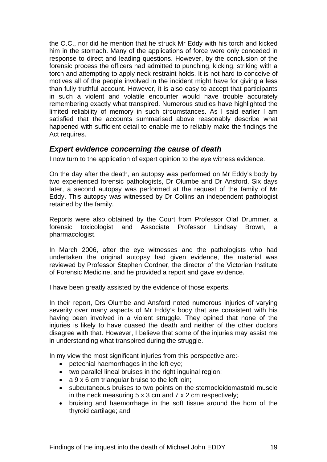the O.C., nor did he mention that he struck Mr Eddy with his torch and kicked him in the stomach. Many of the applications of force were only conceded in response to direct and leading questions. However, by the conclusion of the forensic process the officers had admitted to punching, kicking, striking with a torch and attempting to apply neck restraint holds. It is not hard to conceive of motives all of the people involved in the incident might have for giving a less than fully truthful account. However, it is also easy to accept that participants in such a violent and volatile encounter would have trouble accurately remembering exactly what transpired. Numerous studies have highlighted the limited reliability of memory in such circumstances. As I said earlier I am satisfied that the accounts summarised above reasonably describe what happened with sufficient detail to enable me to reliably make the findings the Act requires.

#### *Expert evidence concerning the cause of death*

I now turn to the application of expert opinion to the eye witness evidence.

On the day after the death, an autopsy was performed on Mr Eddy's body by two experienced forensic pathologists, Dr Olumbe and Dr Ansford. Six days later, a second autopsy was performed at the request of the family of Mr Eddy. This autopsy was witnessed by Dr Collins an independent pathologist retained by the family.

Reports were also obtained by the Court from Professor Olaf Drummer, a forensic toxicologist and Associate Professor Lindsay Brown, a pharmacologist.

In March 2006, after the eye witnesses and the pathologists who had undertaken the original autopsy had given evidence, the material was reviewed by Professor Stephen Cordner, the director of the Victorian Institute of Forensic Medicine, and he provided a report and gave evidence.

I have been greatly assisted by the evidence of those experts.

In their report, Drs Olumbe and Ansford noted numerous injuries of varying severity over many aspects of Mr Eddy's body that are consistent with his having been involved in a violent struggle. They opined that none of the injuries is likely to have cuased the death and neither of the other doctors disagree with that. However, I believe that some of the injuries may assist me in understanding what transpired during the struggle.

In my view the most significant injuries from this perspective are:-

- petechial haemorrhages in the left eye;
- two parallel lineal bruises in the right inguinal region;
- $a \, 9 \times 6$  cm triangular bruise to the left loin;
- subcutaneous bruises to two points on the sternocleidomastoid muscle in the neck measuring  $5 \times 3$  cm and  $7 \times 2$  cm respectively;
- bruising and haemorrhage in the soft tissue around the horn of the thyroid cartilage; and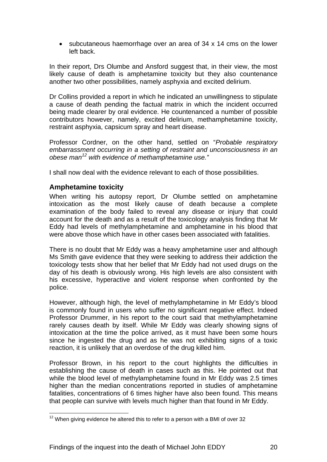• subcutaneous haemorrhage over an area of 34 x 14 cms on the lower left back.

In their report, Drs Olumbe and Ansford suggest that, in their view, the most likely cause of death is amphetamine toxicity but they also countenance another two other possibilities, namely asphyxia and excited delirium.

Dr Collins provided a report in which he indicated an unwillingness to stipulate a cause of death pending the factual matrix in which the incident occurred being made clearer by oral evidence. He countenanced a number of possible contributors however, namely, excited delirium, methamphetamine toxicity, restraint asphyxia, capsicum spray and heart disease.

Professor Cordner, on the other hand, settled on "*Probable respiratory embarrassment occurring in a setting of restraint and unconsciousness in an obese man12 with evidence of methamphetamine use."* 

I shall now deal with the evidence relevant to each of those possibilities.

#### **Amphetamine toxicity**

l

When writing his autopsy report, Dr Olumbe settled on amphetamine intoxication as the most likely cause of death because a complete examination of the body failed to reveal any disease or injury that could account for the death and as a result of the toxicology analysis finding that Mr Eddy had levels of methylamphetamine and amphetamine in his blood that were above those which have in other cases been associated with fatalities.

There is no doubt that Mr Eddy was a heavy amphetamine user and although Ms Smith gave evidence that they were seeking to address their addiction the toxicology tests show that her belief that Mr Eddy had not used drugs on the day of his death is obviously wrong. His high levels are also consistent with his excessive, hyperactive and violent response when confronted by the police.

However, although high, the level of methylamphetamine in Mr Eddy's blood is commonly found in users who suffer no significant negative effect. Indeed Professor Drummer, in his report to the court said that methylamphetamine rarely causes death by itself. While Mr Eddy was clearly showing signs of intoxication at the time the police arrived, as it must have been some hours since he ingested the drug and as he was not exhibiting signs of a toxic reaction, it is unlikely that an overdose of the drug killed him.

Professor Brown, in his report to the court highlights the difficulties in establishing the cause of death in cases such as this. He pointed out that while the blood level of methylamphetamine found in Mr Eddy was 2.5 times higher than the median concentrations reported in studies of amphetamine fatalities, concentrations of 6 times higher have also been found. This means that people can survive with levels much higher than that found in Mr Eddy.

 $12$  When giving evidence he altered this to refer to a person with a BMI of over 32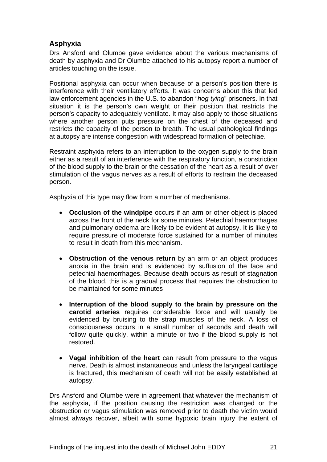#### **Asphyxia**

Drs Ansford and Olumbe gave evidence about the various mechanisms of death by asphyxia and Dr Olumbe attached to his autopsy report a number of articles touching on the issue.

Positional asphyxia can occur when because of a person's position there is interference with their ventilatory efforts. It was concerns about this that led law enforcement agencies in the U.S. to abandon "*hog tying*" prisoners. In that situation it is the person's own weight or their position that restricts the person's capacity to adequately ventilate. It may also apply to those situations where another person puts pressure on the chest of the deceased and restricts the capacity of the person to breath. The usual pathological findings at autopsy are intense congestion with widespread formation of petechiae.

Restraint asphyxia refers to an interruption to the oxygen supply to the brain either as a result of an interference with the respiratory function, a constriction of the blood supply to the brain or the cessation of the heart as a result of over stimulation of the vagus nerves as a result of efforts to restrain the deceased person.

Asphyxia of this type may flow from a number of mechanisms.

- **Occlusion of the windpipe** occurs if an arm or other object is placed across the front of the neck for some minutes. Petechial haemorrhages and pulmonary oedema are likely to be evident at autopsy. It is likely to require pressure of moderate force sustained for a number of minutes to result in death from this mechanism.
- **Obstruction of the venous return** by an arm or an object produces anoxia in the brain and is evidenced by suffusion of the face and petechial haemorrhages. Because death occurs as result of stagnation of the blood, this is a gradual process that requires the obstruction to be maintained for some minutes
- **Interruption of the blood supply to the brain by pressure on the carotid arteries** requires considerable force and will usually be evidenced by bruising to the strap muscles of the neck. A loss of consciousness occurs in a small number of seconds and death will follow quite quickly, within a minute or two if the blood supply is not restored.
- **Vagal inhibition of the heart** can result from pressure to the vagus nerve. Death is almost instantaneous and unless the laryngeal cartilage is fractured, this mechanism of death will not be easily established at autopsy.

Drs Ansford and Olumbe were in agreement that whatever the mechanism of the asphyxia, if the position causing the restriction was changed or the obstruction or vagus stimulation was removed prior to death the victim would almost always recover, albeit with some hypoxic brain injury the extent of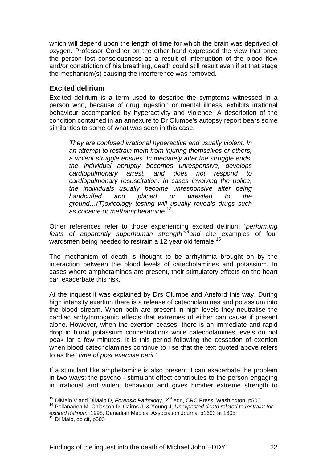which will depend upon the length of time for which the brain was deprived of oxygen. Professor Cordner on the other hand expressed the view that once the person lost consciousness as a result of interruption of the blood flow and/or constriction of his breathing, death could still result even if at that stage the mechanism(s) causing the interference was removed.

#### **Excited delirium**

Excited delirium is a term used to describe the symptoms witnessed in a person who, because of drug ingestion or mental illness, exhibits irrational behaviour accompanied by hyperactivity and violence. A description of the condition contained in an annexure to Dr Olumbe's autopsy report bears some similarities to some of what was seen in this case.

*They are confused irrational hyperactive and usually violent. In an attempt to restrain them from injuring themselves or others, a violent struggle ensues. Immediately after the struggle ends, the individual abruptly becomes unresponsive, develops cardiopulmonary arrest, and does not respond to cardiopulmonary resuscitation. In cases involving the police, the individuals usually become unresponsive after being handcuffed and placed or wrestled to the ground…(T)oxicology testing will usually reveals drugs such as cocaine or methamphetamine*. 13

Other references refer to those experiencing excited delirium *"performing feats of apparently superhuman strength"14and* cite examples of four wardsmen being needed to restrain a 12 year old female.<sup>15</sup>

The mechanism of death is thought to be arrhythmia brought on by the interaction between the blood levels of catecholamines and potassium. In cases where amphetamines are present, their stimulatory effects on the heart can exacerbate this risk.

At the inquest it was explained by Drs Olumbe and Ansford this way. During high intensity exertion there is a release of catecholamines and potassium into the blood stream. When both are present in high levels they neutralise the cardiac arrhythmogenic effects that extremes of either can cause if present alone. However, when the exertion ceases, there is an immediate and rapid drop in blood potassium concentrations while catecholamines levels do not peak for a few minutes. It is this period following the cessation of exertion when blood catecholamines continue to rise that the text quoted above refers to as the "*time of post exercise peril."* 

If a stimulant like amphetamine is also present it can exacerbate the problem in two ways; the psycho - stimulant effect contributes to the person engaging in irrational and violent behaviour and gives him/her extreme strength to

l <sup>13</sup> DiMaio V and DiMaio D, *Forensic Pathology*, 2<sup>nd</sup> edn, CRC Press, Washington, p500<br><sup>14</sup> Pollananen M, Chiasson D, Cairns J, & Young J, *Unexpected death related to restraint for* 

*excited delirium,* 1998, Canadian Medical Association Journal p1603 at 1605<br><sup>15</sup> Di Maio, op cit, p503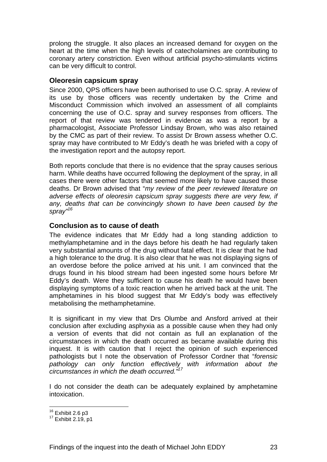prolong the struggle. It also places an increased demand for oxygen on the heart at the time when the high levels of catecholamines are contributing to coronary artery constriction. Even without artificial psycho-stimulants victims can be very difficult to control.

#### **Oleoresin capsicum spray**

Since 2000, QPS officers have been authorised to use O.C. spray. A review of its use by those officers was recently undertaken by the Crime and Misconduct Commission which involved an assessment of all complaints concerning the use of O.C. spray and survey responses from officers. The report of that review was tendered in evidence as was a report by a pharmacologist, Associate Professor Lindsay Brown, who was also retained by the CMC as part of their review. To assist Dr Brown assess whether O.C. spray may have contributed to Mr Eddy's death he was briefed with a copy of the investigation report and the autopsy report.

Both reports conclude that there is no evidence that the spray causes serious harm. While deaths have occurred following the deployment of the spray, in all cases there were other factors that seemed more likely to have caused those deaths. Dr Brown advised that "*my review of the peer reviewed literature on adverse effects of oleoresin capsicum spray suggests there are very few, if any, deaths that can be convincingly shown to have been caused by the spray"<sup>16</sup>*

#### **Conclusion as to cause of death**

The evidence indicates that Mr Eddy had a long standing addiction to methylamphetamine and in the days before his death he had regularly taken very substantial amounts of the drug without fatal effect. It is clear that he had a high tolerance to the drug. It is also clear that he was not displaying signs of an overdose before the police arrived at his unit. I am convinced that the drugs found in his blood stream had been ingested some hours before Mr Eddy's death. Were they sufficient to cause his death he would have been displaying symptoms of a toxic reaction when he arrived back at the unit. The amphetamines in his blood suggest that Mr Eddy's body was effectively metabolising the methamphetamine.

It is significant in my view that Drs Olumbe and Ansford arrived at their conclusion after excluding asphyxia as a possible cause when they had only a version of events that did not contain as full an explanation of the circumstances in which the death occurred as became available during this inquest. It is with caution that I reject the opinion of such experienced pathologists but I note the observation of Professor Cordner that "*forensic*  pathology can only function effectively with information about the *circumstances in which the death occurred."17*

I do not consider the death can be adequately explained by amphetamine intoxication.

 $16$  Exhibit 2.6 p3

 $17$  Exhibit 2.19, p1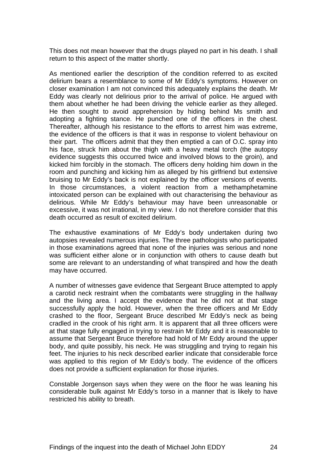This does not mean however that the drugs played no part in his death. I shall return to this aspect of the matter shortly.

As mentioned earlier the description of the condition referred to as excited delirium bears a resemblance to some of Mr Eddy's symptoms. However on closer examination I am not convinced this adequately explains the death. Mr Eddy was clearly not delirious prior to the arrival of police. He argued with them about whether he had been driving the vehicle earlier as they alleged. He then sought to avoid apprehension by hiding behind Ms smith and adopting a fighting stance. He punched one of the officers in the chest. Thereafter, although his resistance to the efforts to arrest him was extreme, the evidence of the officers is that it was in response to violent behaviour on their part. The officers admit that they then emptied a can of O.C. spray into his face, struck him about the thigh with a heavy metal torch (the autopsy evidence suggests this occurred twice and involved blows to the groin), and kicked him forcibly in the stomach. The officers deny holding him down in the room and punching and kicking him as alleged by his girlfriend but extensive bruising to Mr Eddy's back is not explained by the officer versions of events. In those circumstances, a violent reaction from a methamphetamine intoxicated person can be explained with out characterising the behaviour as delirious. While Mr Eddy's behaviour may have been unreasonable or excessive, it was not irrational, in my view. I do not therefore consider that this death occurred as result of excited delirium.

The exhaustive examinations of Mr Eddy's body undertaken during two autopsies revealed numerous injuries. The three pathologists who participated in those examinations agreed that none of the injuries was serious and none was sufficient either alone or in conjunction with others to cause death but some are relevant to an understanding of what transpired and how the death may have occurred.

A number of witnesses gave evidence that Sergeant Bruce attempted to apply a carotid neck restraint when the combatants were struggling in the hallway and the living area. I accept the evidence that he did not at that stage successfully apply the hold. However, when the three officers and Mr Eddy crashed to the floor, Sergeant Bruce described Mr Eddy's neck as being cradled in the crook of his right arm. It is apparent that all three officers were at that stage fully engaged in trying to restrain Mr Eddy and it is reasonable to assume that Sergeant Bruce therefore had hold of Mr Eddy around the upper body, and quite possibly, his neck. He was struggling and trying to regain his feet. The injuries to his neck described earlier indicate that considerable force was applied to this region of Mr Eddy's body. The evidence of the officers does not provide a sufficient explanation for those injuries.

Constable Jorgenson says when they were on the floor he was leaning his considerable bulk against Mr Eddy's torso in a manner that is likely to have restricted his ability to breath.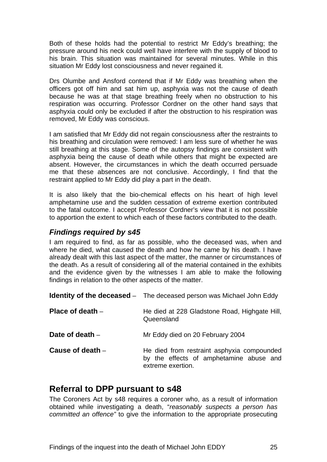Both of these holds had the potential to restrict Mr Eddy's breathing; the pressure around his neck could well have interfere with the supply of blood to his brain. This situation was maintained for several minutes. While in this situation Mr Eddy lost consciousness and never regained it.

Drs Olumbe and Ansford contend that if Mr Eddy was breathing when the officers got off him and sat him up, asphyxia was not the cause of death because he was at that stage breathing freely when no obstruction to his respiration was occurring. Professor Cordner on the other hand says that asphyxia could only be excluded if after the obstruction to his respiration was removed, Mr Eddy was conscious.

I am satisfied that Mr Eddy did not regain consciousness after the restraints to his breathing and circulation were removed: I am less sure of whether he was still breathing at this stage. Some of the autopsy findings are consistent with asphyxia being the cause of death while others that might be expected are absent. However, the circumstances in which the death occurred persuade me that these absences are not conclusive. Accordingly, I find that the restraint applied to Mr Eddy did play a part in the death.

It is also likely that the bio-chemical effects on his heart of high level amphetamine use and the sudden cessation of extreme exertion contributed to the fatal outcome. I accept Professor Cordner's view that it is not possible to apportion the extent to which each of these factors contributed to the death.

#### *Findings required by s45*

I am required to find, as far as possible, who the deceased was, when and where he died, what caused the death and how he came by his death. I have already dealt with this last aspect of the matter, the manner or circumstances of the death. As a result of considering all of the material contained in the exhibits and the evidence given by the witnesses I am able to make the following findings in relation to the other aspects of the matter.

|                    | <b>Identity of the deceased</b> – The deceased person was Michael John Eddy                                |
|--------------------|------------------------------------------------------------------------------------------------------------|
| Place of death $-$ | He died at 228 Gladstone Road, Highgate Hill,<br>Queensland                                                |
| Date of death $-$  | Mr Eddy died on 20 February 2004                                                                           |
| Cause of death $-$ | He died from restraint asphyxia compounded<br>by the effects of amphetamine abuse and<br>extreme exertion. |

# **Referral to DPP pursuant to s48**

The Coroners Act by s48 requires a coroner who, as a result of information obtained while investigating a death, "*reasonably suspects a person has committed an offence"* to give the information to the appropriate prosecuting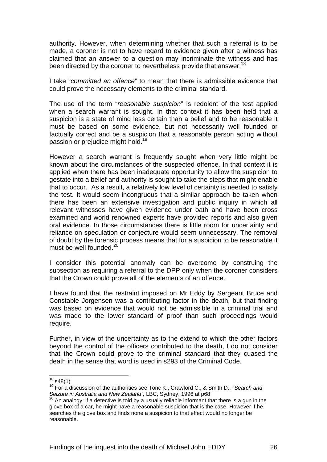authority. However, when determining whether that such a referral is to be made, a coroner is not to have regard to evidence given after a witness has claimed that an answer to a question may incriminate the witness and has been directed by the coroner to nevertheless provide that answer.<sup>18</sup>

I take "*committed an offence*" to mean that there is admissible evidence that could prove the necessary elements to the criminal standard.

The use of the term "*reasonable suspicion*" is redolent of the test applied when a search warrant is sought. In that context it has been held that a suspicion is a state of mind less certain than a belief and to be reasonable it must be based on some evidence, but not necessarily well founded or factually correct and be a suspicion that a reasonable person acting without passion or prejudice might hold.<sup>19</sup>

However a search warrant is frequently sought when very little might be known about the circumstances of the suspected offence. In that context it is applied when there has been inadequate opportunity to allow the suspicion to gestate into a belief and authority is sought to take the steps that might enable that to occur. As a result, a relatively low level of certainty is needed to satisfy the test. It would seem incongruous that a similar approach be taken when there has been an extensive investigation and public inquiry in which all relevant witnesses have given evidence under oath and have been cross examined and world renowned experts have provided reports and also given oral evidence. In those circumstances there is little room for uncertainty and reliance on speculation or conjecture would seem unnecessary. The removal of doubt by the forensic process means that for a suspicion to be reasonable it must be well founded.<sup>20</sup>

I consider this potential anomaly can be overcome by construing the subsection as requiring a referral to the DPP only when the coroner considers that the Crown could prove all of the elements of an offence.

I have found that the restraint imposed on Mr Eddy by Sergeant Bruce and Constable Jorgensen was a contributing factor in the death, but that finding was based on evidence that would not be admissible in a criminal trial and was made to the lower standard of proof than such proceedings would require.

Further, in view of the uncertainty as to the extend to which the other factors beyond the control of the officers contributed to the death, I do not consider that the Crown could prove to the criminal standard that they cuased the death in the sense that word is used in s293 of the Criminal Code.

 $18$  s48(1)

<sup>&</sup>lt;sup>19</sup> For a discussion of the authorities see Tonc K., Crawford C., & Smith D., "Search and *Seizure in Australia and New Zealand",* LBC, Sydney, 1996 at p68 20 An analogy: if a detective is told by a usually reliable informant that there is a gun in the

glove box of a car, he might have a reasonable suspicion that is the case. However if he searches the glove box and finds none a suspicion to that effect would no longer be reasonable.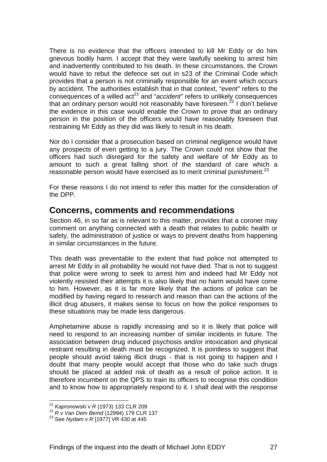There is no evidence that the officers intended to kill Mr Eddy or do him grievous bodily harm. I accept that they were lawfully seeking to arrest him and inadvertently contributed to his death. In these circumstances, the Crown would have to rebut the defence set out in s23 of the Criminal Code which provides that a person is not criminally responsible for an event which occurs by accident. The authorities establish that in that context, "*event"* refers to the consequences of a willed act<sup>21</sup> and "*accident*" refers to unlikely consequences that an ordinary person would not reasonably have foreseen.<sup>22</sup> I don't believe the evidence in this case would enable the Crown to prove that an ordinary person in the position of the officers would have reasonably foreseen that restraining Mr Eddy as they did was likely to result in his death.

Nor do I consider that a prosecution based on criminal negligence would have any prospects of even getting to a jury. The Crown could not show that the officers had such disregard for the safety and welfare of Mr Eddy as to amount to such a great falling short of the standard of care which a reasonable person would have exercised as to merit criminal punishment.<sup>23</sup>

For these reasons I do not intend to refer this matter for the consideration of the DPP.

### **Concerns, comments and recommendations**

Section 46, in so far as is relevant to this matter, provides that a coroner may comment on anything connected with a death that relates to public health or safety, the administration of justice or ways to prevent deaths from happening in similar circumstances in the future.

This death was preventable to the extent that had police not attempted to arrest Mr Eddy in all probability he would not have died. That is not to suggest that police were wrong to seek to arrest him and indeed had Mr Eddy not violently resisted their attempts it is also likely that no harm would have come to him. However, as it is far more likely that the actions of police can be modified by having regard to research and reason than can the actions of the illicit drug abusers, it makes sense to focus on how the police responses to these situations may be made less dangerous.

Amphetamine abuse is rapidly increasing and so it is likely that police will need to respond to an increasing number of similar incidents in future. The association between drug induced psychosis and/or intoxication and physical restraint resulting in death must be recognized. It is pointless to suggest that people should avoid taking illicit drugs - that is not going to happen and I doubt that many people would accept that those who do take such drugs should be placed at added risk of death as a result of police action. It is therefore incumbent on the QPS to train its officers to recognise this condition and to know how to appropriately respond to it. I shall deal with the response

<sup>&</sup>lt;sup>21</sup> Kapronowski v R (1973) 133 CLR 209

<sup>21</sup> *Kapronowski v R* (1973) 133 CLR 209 22 *R v Van Dem Bemd* (12994) 179 CLR 137 23 See *Nydam v R* [1977] VR 430 at 445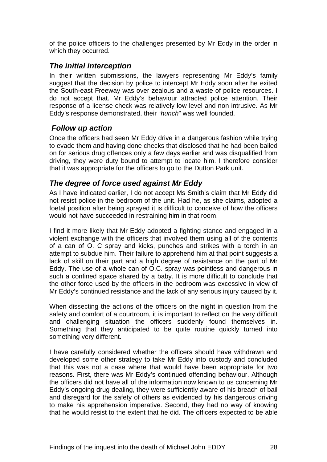of the police officers to the challenges presented by Mr Eddy in the order in which they occurred.

#### *The initial interception*

In their written submissions, the lawyers representing Mr Eddy's family suggest that the decision by police to intercept Mr Eddy soon after he exited the South-east Freeway was over zealous and a waste of police resources. I do not accept that. Mr Eddy's behaviour attracted police attention. Their response of a license check was relatively low level and non intrusive. As Mr Eddy's response demonstrated, their "*hunch*" was well founded.

#### *Follow up action*

Once the officers had seen Mr Eddy drive in a dangerous fashion while trying to evade them and having done checks that disclosed that he had been bailed on for serious drug offences only a few days earlier and was disqualified from driving, they were duty bound to attempt to locate him. I therefore consider that it was appropriate for the officers to go to the Dutton Park unit.

#### *The degree of force used against Mr Eddy*

As I have indicated earlier, I do not accept Ms Smith's claim that Mr Eddy did not resist police in the bedroom of the unit. Had he, as she claims, adopted a foetal position after being sprayed it is difficult to conceive of how the officers would not have succeeded in restraining him in that room.

I find it more likely that Mr Eddy adopted a fighting stance and engaged in a violent exchange with the officers that involved them using all of the contents of a can of O. C spray and kicks, punches and strikes with a torch in an attempt to subdue him. Their failure to apprehend him at that point suggests a lack of skill on their part and a high degree of resistance on the part of Mr Eddy. The use of a whole can of O.C. spray was pointless and dangerous in such a confined space shared by a baby. It is more difficult to conclude that the other force used by the officers in the bedroom was excessive in view of Mr Eddy's continued resistance and the lack of any serious injury caused by it.

When dissecting the actions of the officers on the night in question from the safety and comfort of a courtroom, it is important to reflect on the very difficult and challenging situation the officers suddenly found themselves in. Something that they anticipated to be quite routine quickly turned into something very different.

I have carefully considered whether the officers should have withdrawn and developed some other strategy to take Mr Eddy into custody and concluded that this was not a case where that would have been appropriate for two reasons. First, there was Mr Eddy's continued offending behaviour. Although the officers did not have all of the information now known to us concerning Mr Eddy's ongoing drug dealing, they were sufficiently aware of his breach of bail and disregard for the safety of others as evidenced by his dangerous driving to make his apprehension imperative. Second, they had no way of knowing that he would resist to the extent that he did. The officers expected to be able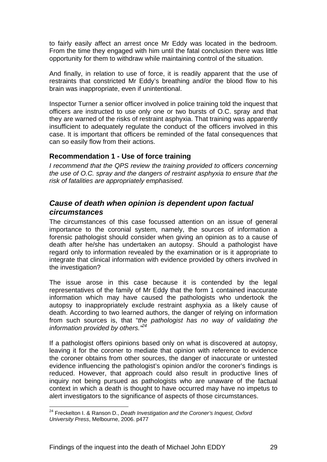to fairly easily affect an arrest once Mr Eddy was located in the bedroom. From the time they engaged with him until the fatal conclusion there was little opportunity for them to withdraw while maintaining control of the situation.

And finally, in relation to use of force, it is readily apparent that the use of restraints that constricted Mr Eddy's breathing and/or the blood flow to his brain was inappropriate, even if unintentional.

Inspector Turner a senior officer involved in police training told the inquest that officers are instructed to use only one or two bursts of O.C. spray and that they are warned of the risks of restraint asphyxia. That training was apparently insufficient to adequately regulate the conduct of the officers involved in this case. It is important that officers be reminded of the fatal consequences that can so easily flow from their actions.

#### **Recommendation 1 - Use of force training**

*I recommend that the QPS review the training provided to officers concerning the use of O.C. spray and the dangers of restraint asphyxia to ensure that the risk of fatalities are appropriately emphasised.* 

#### *Cause of death when opinion is dependent upon factual circumstances*

The circumstances of this case focussed attention on an issue of general importance to the coronial system, namely, the sources of information a forensic pathologist should consider when giving an opinion as to a cause of death after he/she has undertaken an autopsy. Should a pathologist have regard only to information revealed by the examination or is it appropriate to integrate that clinical information with evidence provided by others involved in the investigation?

The issue arose in this case because it is contended by the legal representatives of the family of Mr Eddy that the form 1 contained inaccurate information which may have caused the pathologists who undertook the autopsy to inappropriately exclude restraint asphyxia as a likely cause of death. According to two learned authors, the danger of relying on information from such sources is, that "*the pathologist has no way of validating the information provided by others."24*

If a pathologist offers opinions based only on what is discovered at autopsy, leaving it for the coroner to mediate that opinion with reference to evidence the coroner obtains from other sources, the danger of inaccurate or untested evidence influencing the pathologist's opinion and/or the coroner's findings is reduced. However, that approach could also result in productive lines of inquiry not being pursued as pathologists who are unaware of the factual context in which a death is thought to have occurred may have no impetus to alert investigators to the significance of aspects of those circumstances.

l

<sup>24</sup> Freckelton I. & Ranson D., *Death Investigation and the Coroner's Inquest, Oxford University Press*, Melbourne, 2006. p477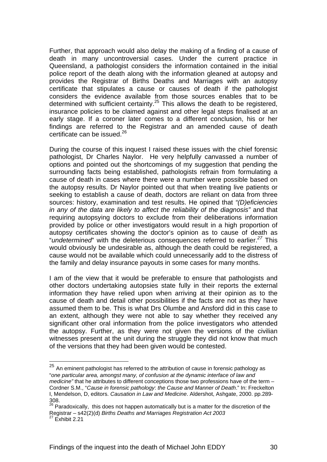Further, that approach would also delay the making of a finding of a cause of death in many uncontroversial cases. Under the current practice in Queensland, a pathologist considers the information contained in the initial police report of the death along with the information gleaned at autopsy and provides the Registrar of Births Deaths and Marriages with an autopsy certificate that stipulates a cause or causes of death if the pathologist considers the evidence available from those sources enables that to be determined with sufficient certainty.<sup>25</sup> This allows the death to be registered, insurance policies to be claimed against and other legal steps finalised at an early stage. If a coroner later comes to a different conclusion, his or her findings are referred to the Registrar and an amended cause of death certificate can be issued.<sup>26</sup>

During the course of this inquest I raised these issues with the chief forensic pathologist, Dr Charles Naylor. He very helpfully canvassed a number of options and pointed out the shortcomings of my suggestion that pending the surrounding facts being established, pathologists refrain from formulating a cause of death in cases where there were a number were possible based on the autopsy results. Dr Naylor pointed out that when treating live patients or seeking to establish a cause of death, doctors are reliant on data from three sources: history, examination and test results. He opined that *"(D)eficiencies in any of the data are likely to affect the reliability of the diagnosis"* and that requiring autopsying doctors to exclude from their deliberations information provided by police or other investigators would result in a high proportion of autopsy certificates showing the doctor's opinion as to cause of death as "*undetermined*" with the deleterious consequences referred to earlier.*<sup>27</sup>* This would obviously be undesirable as, although the death could be registered, a cause would not be available which could unnecessarily add to the distress of the family and delay insurance payouts in some cases for many months.

I am of the view that it would be preferable to ensure that pathologists and other doctors undertaking autopsies state fully in their reports the external information they have relied upon when arriving at their opinion as to the cause of death and detail other possibilities if the facts are not as they have assumed them to be. This is what Drs Olumbe and Ansford did in this case to an extent, although they were not able to say whether they received any significant other oral information from the police investigators who attended the autopsy. Further, as they were not given the versions of the civilian witnesses present at the unit during the struggle they did not know that much of the versions that they had been given would be contested.

l

 $^{25}$  An eminent pathologist has referred to the attribution of cause in forensic pathology as "*one particular area, amongst many, of confusion at the dynamic interface of law and medicine"* that he attributes to different conceptions those two professions have of the term – Cordner S.M., "*Cause in forensic pathology*: *the Cause and Manner of Death*." In: Freckelton I, Mendelson, D, editors. *Causation in Law and Medicine*. Aldershot, Ashgate, 2000. pp.289- 308.

<sup>&</sup>lt;sup>26</sup> Paradoxically, this does not happen automatically but is a matter for the discretion of the Registrar – s42(2)(d) *Births Deaths and Marriages Registration Act 2003* 27 Exhibit 2.21